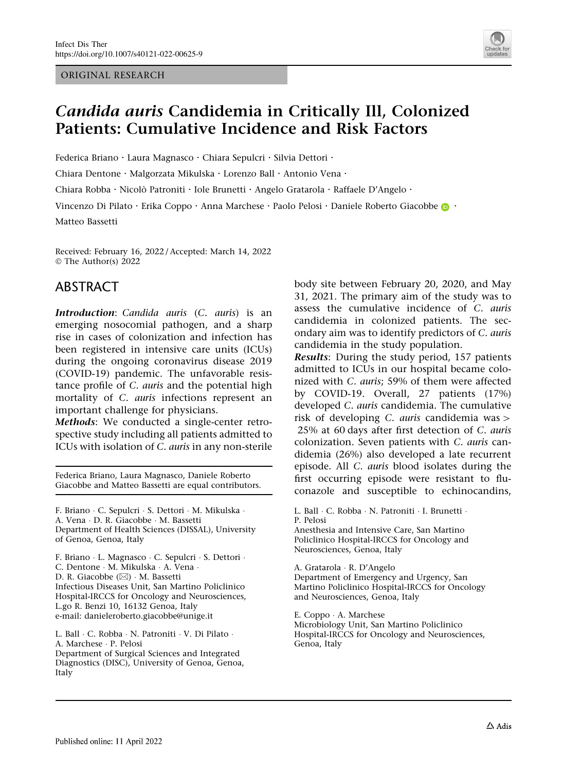ORIGINAL RESEARCH



# Candida auris Candidemia in Critically Ill, Colonized Patients: Cumulative Incidence and Risk Factors

Federica Briano · Laura Magnasco · Chiara Sepulcri · Silvia Dettori ·

Chiara Dentone · Malgorzata Mikulska · Lorenzo Ball · Antonio Vena ·

Chiara Robba · Nicolò Patroniti · Iole Brunetti · Angelo Gratarola · Raffaele D'Angelo ·

Vinc[e](http://orcid.org/0000-0003-2385-1759)nzo Di Pilato · Erika Coppo · Anna Marchese · Paolo Pelosi · Daniele Roberto Giacobbe **.** ·

Matteo Bassetti

Received: February 16, 2022 / Accepted: March 14, 2022 © The Author(s) 2022

### ABSTRACT

Introduction: Candida auris (C. auris) is an emerging nosocomial pathogen, and a sharp rise in cases of colonization and infection has been registered in intensive care units (ICUs) during the ongoing coronavirus disease 2019 (COVID-19) pandemic. The unfavorable resistance profile of C. auris and the potential high mortality of C. auris infections represent an important challenge for physicians.

Methods: We conducted a single-center retrospective study including all patients admitted to ICUs with isolation of C. auris in any non-sterile

Federica Briano, Laura Magnasco, Daniele Roberto Giacobbe and Matteo Bassetti are equal contributors.

F. Briano - C. Sepulcri - S. Dettori - M. Mikulska - A. Vena - D. R. Giacobbe - M. Bassetti Department of Health Sciences (DISSAL), University of Genoa, Genoa, Italy

F. Briano - L. Magnasco - C. Sepulcri - S. Dettori - C. Dentone - M. Mikulska - A. Vena - D. R. Giacobbe (⊠) · M. Bassetti Infectious Diseases Unit, San Martino Policlinico Hospital-IRCCS for Oncology and Neurosciences, L.go R. Benzi 10, 16132 Genoa, Italy e-mail: danieleroberto.giacobbe@unige.it

L. Ball - C. Robba - N. Patroniti - V. Di Pilato - A. Marchese - P. Pelosi Department of Surgical Sciences and Integrated Diagnostics (DISC), University of Genoa, Genoa, Italy

body site between February 20, 2020, and May 31, 2021. The primary aim of the study was to assess the cumulative incidence of C. auris candidemia in colonized patients. The secondary aim was to identify predictors of C. auris candidemia in the study population.

Results: During the study period, 157 patients admitted to ICUs in our hospital became colonized with C. auris; 59% of them were affected by COVID-19. Overall, 27 patients (17%) developed C. auris candidemia. The cumulative risk of developing  $C$ . *auris* candidemia was  $>$ 25% at 60 days after first detection of C. auris colonization. Seven patients with C. auris candidemia (26%) also developed a late recurrent episode. All C. auris blood isolates during the first occurring episode were resistant to fluconazole and susceptible to echinocandins,

L. Ball · C. Robba · N. Patroniti · I. Brunetti · P. Pelosi Anesthesia and Intensive Care, San Martino Policlinico Hospital-IRCCS for Oncology and Neurosciences, Genoa, Italy

A. Gratarola - R. D'Angelo Department of Emergency and Urgency, San Martino Policlinico Hospital-IRCCS for Oncology and Neurosciences, Genoa, Italy

E. Coppo - A. Marchese Microbiology Unit, San Martino Policlinico Hospital-IRCCS for Oncology and Neurosciences, Genoa, Italy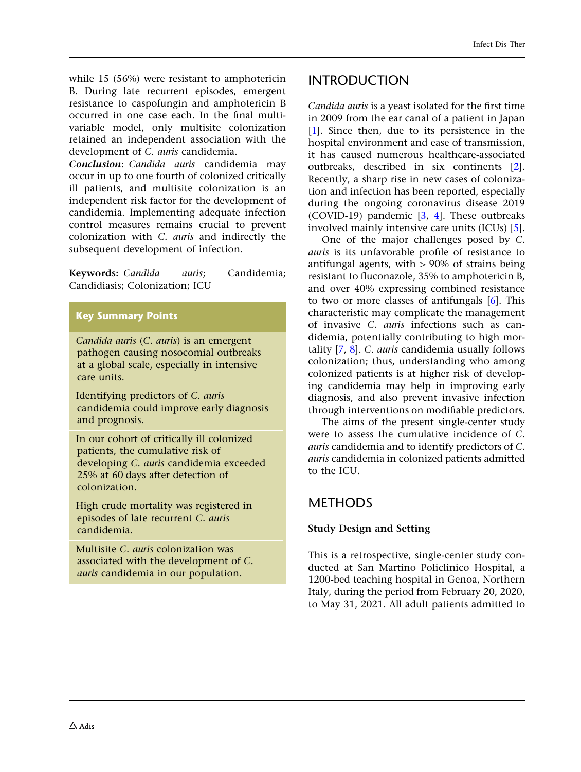while 15 (56%) were resistant to amphotericin B. During late recurrent episodes, emergent resistance to caspofungin and amphotericin B occurred in one case each. In the final multivariable model, only multisite colonization retained an independent association with the development of C. auris candidemia.

Conclusion: Candida auris candidemia may occur in up to one fourth of colonized critically ill patients, and multisite colonization is an independent risk factor for the development of candidemia. Implementing adequate infection control measures remains crucial to prevent colonization with C. auris and indirectly the subsequent development of infection.

Keywords: Candida auris; Candidemia; Candidiasis; Colonization; ICU

#### Key Summary Points

Candida auris (C. auris) is an emergent pathogen causing nosocomial outbreaks at a global scale, especially in intensive care units.

Identifying predictors of C. auris candidemia could improve early diagnosis and prognosis.

In our cohort of critically ill colonized patients, the cumulative risk of developing C. auris candidemia exceeded 25% at 60 days after detection of colonization.

High crude mortality was registered in episodes of late recurrent C. auris candidemia.

Multisite C. auris colonization was associated with the development of C. auris candidemia in our population.

### INTRODUCTION

Candida auris is a yeast isolated for the first time in 2009 from the ear canal of a patient in Japan [\[1](#page-10-0)]. Since then, due to its persistence in the hospital environment and ease of transmission, it has caused numerous healthcare-associated outbreaks, described in six continents [[2](#page-10-0)]. Recently, a sharp rise in new cases of colonization and infection has been reported, especially during the ongoing coronavirus disease 2019 (COVID-19) pandemic [\[3,](#page-10-0) [4\]](#page-10-0). These outbreaks involved mainly intensive care units (ICUs) [[5](#page-10-0)].

One of the major challenges posed by C. auris is its unfavorable profile of resistance to antifungal agents, with  $> 90\%$  of strains being resistant to fluconazole, 35% to amphotericin B, and over 40% expressing combined resistance to two or more classes of antifungals [\[6](#page-10-0)]. This characteristic may complicate the management of invasive C. auris infections such as candidemia, potentially contributing to high mortality [[7,](#page-10-0) [8](#page-10-0)]. C. auris candidemia usually follows colonization; thus, understanding who among colonized patients is at higher risk of developing candidemia may help in improving early diagnosis, and also prevent invasive infection through interventions on modifiable predictors.

The aims of the present single-center study were to assess the cumulative incidence of C. auris candidemia and to identify predictors of C. auris candidemia in colonized patients admitted to the ICU.

## METHODS

### Study Design and Setting

This is a retrospective, single-center study conducted at San Martino Policlinico Hospital, a 1200-bed teaching hospital in Genoa, Northern Italy, during the period from February 20, 2020, to May 31, 2021. All adult patients admitted to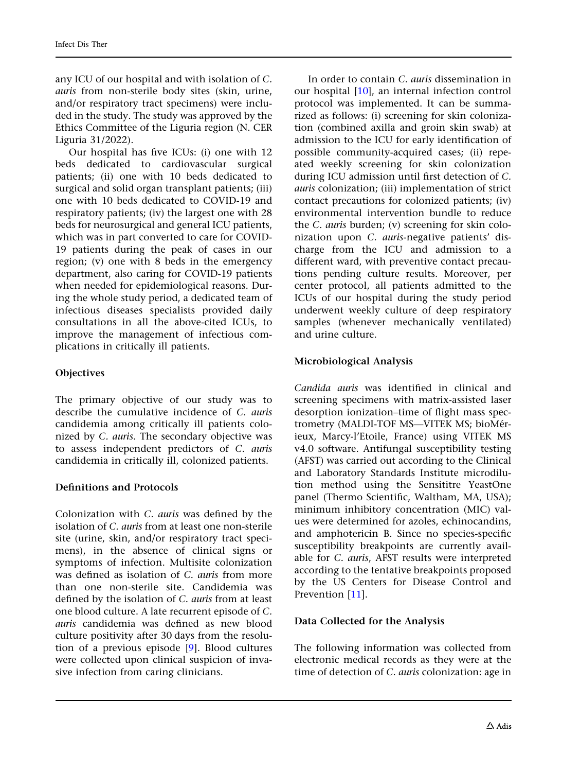any ICU of our hospital and with isolation of C. auris from non-sterile body sites (skin, urine, and/or respiratory tract specimens) were included in the study. The study was approved by the Ethics Committee of the Liguria region (N. CER Liguria 31/2022).

Our hospital has five ICUs: (i) one with 12 beds dedicated to cardiovascular surgical patients; (ii) one with 10 beds dedicated to surgical and solid organ transplant patients; (iii) one with 10 beds dedicated to COVID-19 and respiratory patients; (iv) the largest one with 28 beds for neurosurgical and general ICU patients, which was in part converted to care for COVID-19 patients during the peak of cases in our region; (v) one with 8 beds in the emergency department, also caring for COVID-19 patients when needed for epidemiological reasons. During the whole study period, a dedicated team of infectious diseases specialists provided daily consultations in all the above-cited ICUs, to improve the management of infectious complications in critically ill patients.

#### **Objectives**

The primary objective of our study was to describe the cumulative incidence of C. auris candidemia among critically ill patients colonized by C. auris. The secondary objective was to assess independent predictors of C. auris candidemia in critically ill, colonized patients.

#### Definitions and Protocols

Colonization with C. auris was defined by the isolation of C. auris from at least one non-sterile site (urine, skin, and/or respiratory tract specimens), in the absence of clinical signs or symptoms of infection. Multisite colonization was defined as isolation of C. *auris* from more than one non-sterile site. Candidemia was defined by the isolation of C. auris from at least one blood culture. A late recurrent episode of C. auris candidemia was defined as new blood culture positivity after 30 days from the resolution of a previous episode [\[9](#page-10-0)]. Blood cultures were collected upon clinical suspicion of invasive infection from caring clinicians.

In order to contain C. auris dissemination in our hospital [\[10\]](#page-10-0), an internal infection control protocol was implemented. It can be summarized as follows: (i) screening for skin colonization (combined axilla and groin skin swab) at admission to the ICU for early identification of possible community-acquired cases; (ii) repeated weekly screening for skin colonization during ICU admission until first detection of C. auris colonization; (iii) implementation of strict contact precautions for colonized patients; (iv) environmental intervention bundle to reduce the C. auris burden; (v) screening for skin colonization upon C. auris-negative patients' discharge from the ICU and admission to a different ward, with preventive contact precautions pending culture results. Moreover, per center protocol, all patients admitted to the ICUs of our hospital during the study period underwent weekly culture of deep respiratory samples (whenever mechanically ventilated) and urine culture.

### Microbiological Analysis

Candida auris was identified in clinical and screening specimens with matrix-assisted laser desorption ionization–time of flight mass spectrometry (MALDI-TOF MS-VITEK MS; bioMérieux, Marcy-l'Etoile, France) using VITEK MS v4.0 software. Antifungal susceptibility testing (AFST) was carried out according to the Clinical and Laboratory Standards Institute microdilution method using the Sensititre YeastOne panel (Thermo Scientific, Waltham, MA, USA); minimum inhibitory concentration (MIC) values were determined for azoles, echinocandins, and amphotericin B. Since no species-specific susceptibility breakpoints are currently available for C. auris, AFST results were interpreted according to the tentative breakpoints proposed by the US Centers for Disease Control and Prevention [\[11\]](#page-10-0).

#### Data Collected for the Analysis

The following information was collected from electronic medical records as they were at the time of detection of C. auris colonization: age in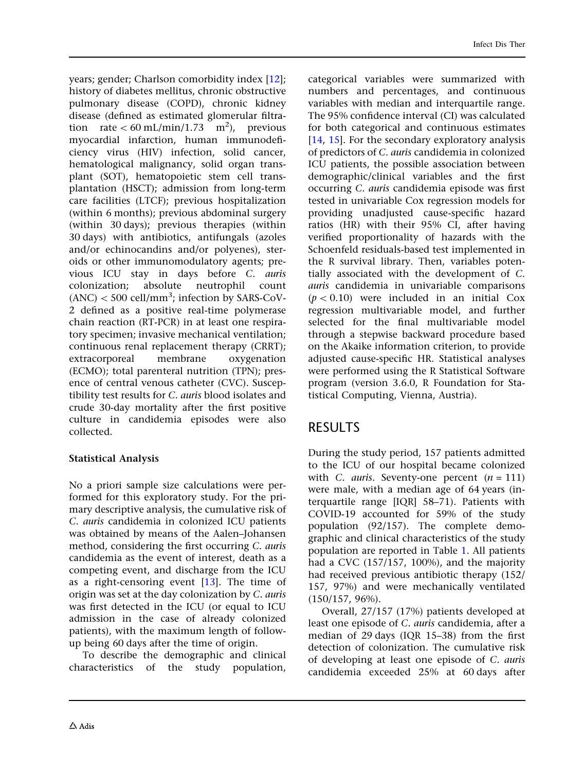years; gender; Charlson comorbidity index [[12](#page-10-0)]; history of diabetes mellitus, chronic obstructive pulmonary disease (COPD), chronic kidney disease (defined as estimated glomerular filtration rate  $< 60 \text{ mL/min}/1.73 \text{ m}^2$ ), previous myocardial infarction, human immunodeficiency virus (HIV) infection, solid cancer, hematological malignancy, solid organ transplant (SOT), hematopoietic stem cell transplantation (HSCT); admission from long-term care facilities (LTCF); previous hospitalization (within 6 months); previous abdominal surgery (within 30 days); previous therapies (within 30 days) with antibiotics, antifungals (azoles and/or echinocandins and/or polyenes), steroids or other immunomodulatory agents; previous ICU stay in days before C. auris colonization; absolute neutrophil count  $(ANC)$  < 500 cell/mm<sup>3</sup>; infection by SARS-CoV-2 defined as a positive real-time polymerase chain reaction (RT-PCR) in at least one respiratory specimen; invasive mechanical ventilation; continuous renal replacement therapy (CRRT); extracorporeal membrane oxygenation (ECMO); total parenteral nutrition (TPN); presence of central venous catheter (CVC). Susceptibility test results for C. auris blood isolates and crude 30-day mortality after the first positive culture in candidemia episodes were also collected.

### Statistical Analysis

No a priori sample size calculations were performed for this exploratory study. For the primary descriptive analysis, the cumulative risk of C. auris candidemia in colonized ICU patients was obtained by means of the Aalen–Johansen method, considering the first occurring C. auris candidemia as the event of interest, death as a competing event, and discharge from the ICU as a right-censoring event [\[13\]](#page-10-0). The time of origin was set at the day colonization by C. auris was first detected in the ICU (or equal to ICU admission in the case of already colonized patients), with the maximum length of followup being 60 days after the time of origin.

To describe the demographic and clinical characteristics of the study population,

categorical variables were summarized with numbers and percentages, and continuous variables with median and interquartile range. The 95% confidence interval (CI) was calculated for both categorical and continuous estimates [\[14,](#page-10-0) [15](#page-10-0)]. For the secondary exploratory analysis of predictors of C. auris candidemia in colonized ICU patients, the possible association between demographic/clinical variables and the first occurring C. auris candidemia episode was first tested in univariable Cox regression models for providing unadjusted cause-specific hazard ratios (HR) with their 95% CI, after having verified proportionality of hazards with the Schoenfeld residuals-based test implemented in the R survival library. Then, variables potentially associated with the development of C. auris candidemia in univariable comparisons  $(p < 0.10)$  were included in an initial Cox regression multivariable model, and further selected for the final multivariable model through a stepwise backward procedure based on the Akaike information criterion, to provide adjusted cause-specific HR. Statistical analyses were performed using the R Statistical Software program (version 3.6.0, R Foundation for Statistical Computing, Vienna, Austria).

### RESULTS

During the study period, 157 patients admitted to the ICU of our hospital became colonized with C. *auris*. Seventy-one percent  $(n = 111)$ were male, with a median age of 64 years (interquartile range [IQR] 58–71). Patients with COVID-19 accounted for 59% of the study population (92/157). The complete demographic and clinical characteristics of the study population are reported in Table [1](#page-4-0). All patients had a CVC (157/157, 100%), and the majority had received previous antibiotic therapy (152/ 157, 97%) and were mechanically ventilated (150/157, 96%).

Overall, 27/157 (17%) patients developed at least one episode of C. auris candidemia, after a median of 29 days (IQR 15–38) from the first detection of colonization. The cumulative risk of developing at least one episode of C. auris candidemia exceeded 25% at 60 days after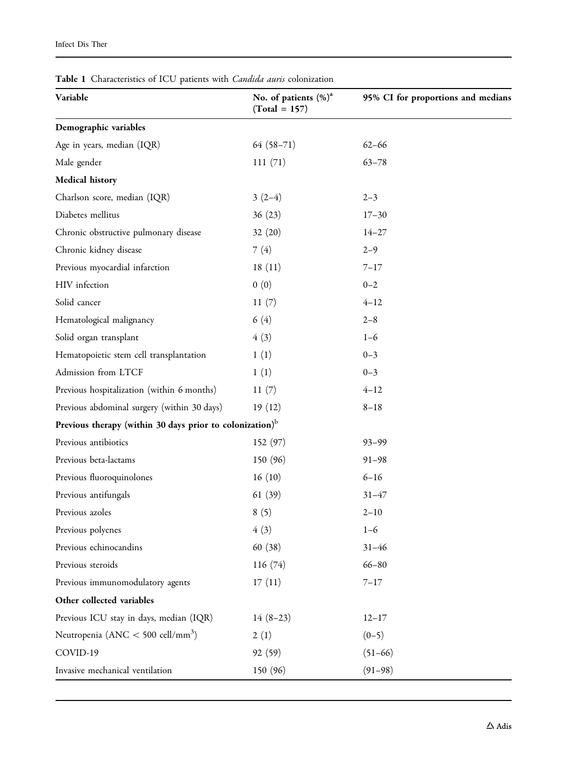<span id="page-4-0"></span>

| Table 1 Characteristics of ICU patients with <i>Candida auris</i> colonization |  |
|--------------------------------------------------------------------------------|--|
|--------------------------------------------------------------------------------|--|

| Variable                                                             | No. of patients (%) <sup>a</sup><br>$(Total = 157)$ | 95% CI for proportions and medians |
|----------------------------------------------------------------------|-----------------------------------------------------|------------------------------------|
| Demographic variables                                                |                                                     |                                    |
| Age in years, median (IQR)                                           | $64(58-71)$                                         | $62 - 66$                          |
| Male gender                                                          | 111(71)                                             | $63 - 78$                          |
| Medical history                                                      |                                                     |                                    |
| Charlson score, median (IQR)                                         | $3(2-4)$                                            | $2 - 3$                            |
| Diabetes mellitus                                                    | 36(23)                                              | $17 - 30$                          |
| Chronic obstructive pulmonary disease                                | 32(20)                                              | $14 - 27$                          |
| Chronic kidney disease                                               | 7(4)                                                | $2 - 9$                            |
| Previous myocardial infarction                                       | 18(11)                                              | $7 - 17$                           |
| HIV infection                                                        | 0(0)                                                | $0 - 2$                            |
| Solid cancer                                                         | 11(7)                                               | $4 - 12$                           |
| Hematological malignancy                                             | 6(4)                                                | $2 - 8$                            |
| Solid organ transplant                                               | 4(3)                                                | $1 - 6$                            |
| Hematopoietic stem cell transplantation                              | 1(1)                                                | $0 - 3$                            |
| Admission from LTCF                                                  | 1(1)                                                | $0 - 3$                            |
| Previous hospitalization (within 6 months)                           | 11(7)                                               | $4 - 12$                           |
| Previous abdominal surgery (within 30 days)                          | 19(12)                                              | $8 - 18$                           |
| Previous therapy (within 30 days prior to colonization) <sup>b</sup> |                                                     |                                    |
| Previous antibiotics                                                 | 152(97)                                             | $93 - 99$                          |
| Previous beta-lactams                                                | 150 (96)                                            | $91 - 98$                          |
| Previous fluoroquinolones                                            | 16(10)                                              | $6 - 16$                           |
| Previous antifungals                                                 | 61(39)                                              | $31 - 47$                          |
| Previous azoles                                                      | 8(5)                                                | $2 - 10$                           |
| Previous polyenes                                                    | 4(3)                                                | $1 - 6$                            |
| Previous echinocandins                                               | 60 (38)                                             | $31 - 46$                          |
| Previous steroids                                                    | 116(74)                                             | $66 - 80$                          |
| Previous immunomodulatory agents                                     | 17(11)                                              | $7 - 17$                           |
| Other collected variables                                            |                                                     |                                    |
| Previous ICU stay in days, median (IQR)                              | $14(8-23)$                                          | $12 - 17$                          |
| Neutropenia (ANC $<$ 500 cell/mm <sup>3</sup> )                      | 2(1)                                                | $(0-5)$                            |
| COVID-19                                                             | 92(59)                                              | $(51-66)$                          |
| Invasive mechanical ventilation                                      | 150 (96)                                            | $(91 - 98)$                        |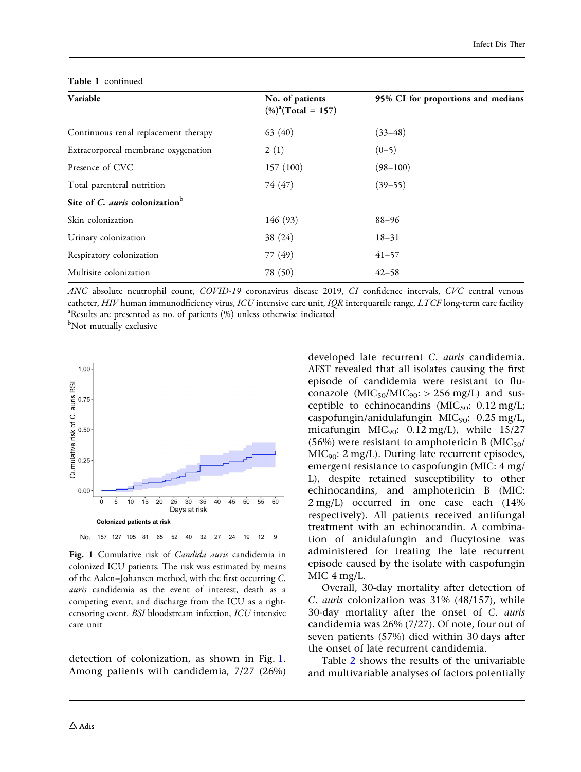| Variable                                          | No. of patients<br>$(\%)^a$ (Total = 157) | 95% CI for proportions and medians |  |  |
|---------------------------------------------------|-------------------------------------------|------------------------------------|--|--|
| Continuous renal replacement therapy              | 63 $(40)$                                 | $(33 - 48)$                        |  |  |
| Extracorporeal membrane oxygenation               | 2(1)                                      | $(0-5)$                            |  |  |
| Presence of CVC                                   | 157 (100)                                 | $(98 - 100)$                       |  |  |
| Total parenteral nutrition                        | 74 (47)                                   | $(39 - 55)$                        |  |  |
| Site of C. <i>auris</i> colonization <sup>b</sup> |                                           |                                    |  |  |
| Skin colonization                                 | 146 (93)                                  | $88 - 96$                          |  |  |
| Urinary colonization                              | 38(24)                                    | $18 - 31$                          |  |  |
| Respiratory colonization                          | 77 (49)                                   | $41 - 57$                          |  |  |
| Multisite colonization                            | 78 (50)                                   | $42 - 58$                          |  |  |

#### Table 1 continued

ANC absolute neutrophil count, COVID-19 coronavirus disease 2019, CI confidence intervals, CVC central venous catheter, HIV human immunodficiency virus, ICU intensive care unit, IQR interquartile range, LTCF long-term care facility Results are presented as no. of patients (%) unless otherwise indicated

b Not mutually exclusive



Fig. 1 Cumulative risk of *Candida auris* candidemia in colonized ICU patients. The risk was estimated by means of the Aalen–Johansen method, with the first occurring C. auris candidemia as the event of interest, death as a competing event, and discharge from the ICU as a rightcensoring event. BSI bloodstream infection, ICU intensive care unit

detection of colonization, as shown in Fig. 1. Among patients with candidemia, 7/27 (26%) developed late recurrent C. auris candidemia. AFST revealed that all isolates causing the first episode of candidemia were resistant to fluconazole ( $MIC<sub>50</sub>/MIC<sub>90</sub>: > 256 mg/L$ ) and susceptible to echinocandins ( $MIC<sub>50</sub>$ : 0.12 mg/L; caspofungin/anidulafungin MIC<sub>90</sub>:  $0.25$  mg/L, micafungin  $MIC<sub>90</sub>: 0.12 mg/L$ , while 15/27 (56%) were resistant to amphotericin B  $(MIC<sub>50</sub>/$  $MIC<sub>90</sub>: 2 mg/L$ . During late recurrent episodes, emergent resistance to caspofungin (MIC: 4 mg/ L), despite retained susceptibility to other echinocandins, and amphotericin B (MIC: 2 mg/L) occurred in one case each (14% respectively). All patients received antifungal treatment with an echinocandin. A combination of anidulafungin and flucytosine was administered for treating the late recurrent episode caused by the isolate with caspofungin MIC 4 mg/L.

Overall, 30-day mortality after detection of C. auris colonization was 31% (48/157), while 30-day mortality after the onset of C. auris candidemia was 26% (7/27). Of note, four out of seven patients (57%) died within 30 days after the onset of late recurrent candidemia.

Table [2](#page-6-0) shows the results of the univariable and multivariable analyses of factors potentially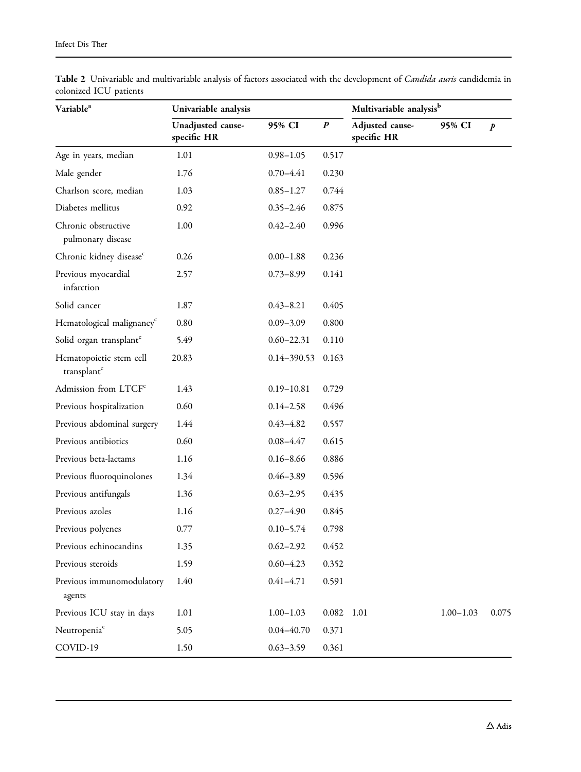| Variable <sup>a</sup>                              | Univariable analysis             |                |                  | Multivariable analysis <sup>b</sup> |               |                  |
|----------------------------------------------------|----------------------------------|----------------|------------------|-------------------------------------|---------------|------------------|
|                                                    | Unadjusted cause-<br>specific HR | 95% CI         | $\boldsymbol{P}$ | Adjusted cause-<br>specific HR      | 95% CI        | $\boldsymbol{p}$ |
| Age in years, median                               | 1.01                             | $0.98 - 1.05$  | 0.517            |                                     |               |                  |
| Male gender                                        | 1.76                             | $0.70 - 4.41$  | 0.230            |                                     |               |                  |
| Charlson score, median                             | 1.03                             | $0.85 - 1.27$  | 0.744            |                                     |               |                  |
| Diabetes mellitus                                  | 0.92                             | $0.35 - 2.46$  | 0.875            |                                     |               |                  |
| Chronic obstructive<br>pulmonary disease           | 1.00                             | $0.42 - 2.40$  | 0.996            |                                     |               |                  |
| Chronic kidney disease <sup>c</sup>                | 0.26                             | $0.00 - 1.88$  | 0.236            |                                     |               |                  |
| Previous myocardial<br>infarction                  | 2.57                             | $0.73 - 8.99$  | 0.141            |                                     |               |                  |
| Solid cancer                                       | 1.87                             | $0.43 - 8.21$  | 0.405            |                                     |               |                  |
| Hematological malignancy <sup>c</sup>              | 0.80                             | $0.09 - 3.09$  | 0.800            |                                     |               |                  |
| Solid organ transplant <sup>c</sup>                | 5.49                             | $0.60 - 22.31$ | 0.110            |                                     |               |                  |
| Hematopoietic stem cell<br>transplant <sup>c</sup> | 20.83                            | 0.14-390.53    | 0.163            |                                     |               |                  |
| Admission from LTCF <sup>c</sup>                   | 1.43                             | $0.19 - 10.81$ | 0.729            |                                     |               |                  |
| Previous hospitalization                           | 0.60                             | $0.14 - 2.58$  | 0.496            |                                     |               |                  |
| Previous abdominal surgery                         | 1.44                             | $0.43 - 4.82$  | 0.557            |                                     |               |                  |
| Previous antibiotics                               | 0.60                             | $0.08 - 4.47$  | 0.615            |                                     |               |                  |
| Previous beta-lactams                              | 1.16                             | $0.16 - 8.66$  | 0.886            |                                     |               |                  |
| Previous fluoroquinolones                          | 1.34                             | $0.46 - 3.89$  | 0.596            |                                     |               |                  |
| Previous antifungals                               | 1.36                             | $0.63 - 2.95$  | 0.435            |                                     |               |                  |
| Previous azoles                                    | 1.16                             | $0.27 - 4.90$  | 0.845            |                                     |               |                  |
| Previous polyenes                                  | 0.77                             | $0.10 - 5.74$  | 0.798            |                                     |               |                  |
| Previous echinocandins                             | 1.35                             | $0.62 - 2.92$  | 0.452            |                                     |               |                  |
| Previous steroids                                  | 1.59                             | $0.60 - 4.23$  | 0.352            |                                     |               |                  |
| Previous immunomodulatory<br>agents                | 1.40                             | $0.41 - 4.71$  | 0.591            |                                     |               |                  |
| Previous ICU stay in days                          | 1.01                             | $1.00 - 1.03$  | 0.082            | 1.01                                | $1.00 - 1.03$ | 0.075            |
| Neutropenia <sup>c</sup>                           | 5.05                             | $0.04 - 40.70$ | 0.371            |                                     |               |                  |
| COVID-19                                           | 1.50                             | $0.63 - 3.59$  | 0.361            |                                     |               |                  |

<span id="page-6-0"></span>Table 2 Univariable and multivariable analysis of factors associated with the development of *Candida auris* candidemia in colonized ICU patients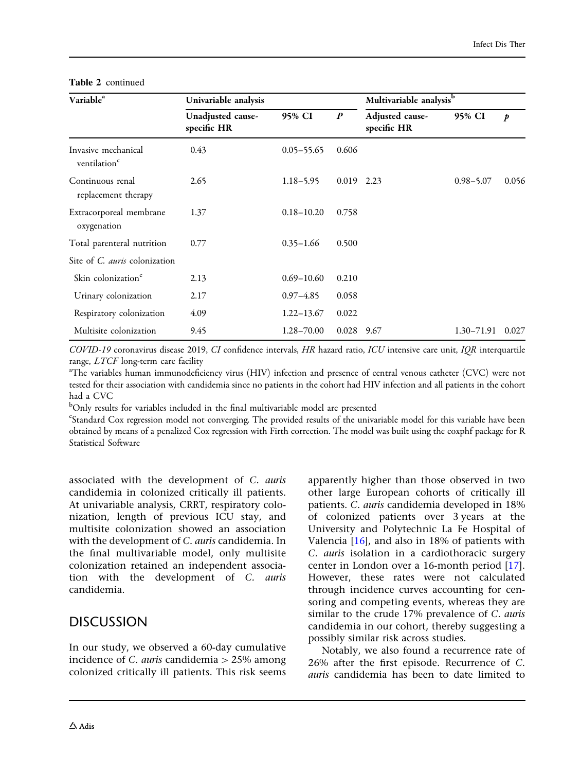| Variable <sup>a</sup>                           | Univariable analysis             |                |                  | Multivariable analysis <sup>b</sup> |                |                  |
|-------------------------------------------------|----------------------------------|----------------|------------------|-------------------------------------|----------------|------------------|
|                                                 | Unadjusted cause-<br>specific HR | 95% CI         | $\boldsymbol{P}$ | Adjusted cause-<br>specific HR      | 95% CI         | $\boldsymbol{p}$ |
| Invasive mechanical<br>ventilation <sup>c</sup> | 0.43                             | $0.05 - 55.65$ | 0.606            |                                     |                |                  |
| Continuous renal<br>replacement therapy         | 2.65                             | $1.18 - 5.95$  | $0.019$ 2.23     |                                     | $0.98 - 5.07$  | 0.056            |
| Extracorporeal membrane<br>oxygenation          | 1.37                             | $0.18 - 10.20$ | 0.758            |                                     |                |                  |
| Total parenteral nutrition                      | 0.77                             | $0.35 - 1.66$  | 0.500            |                                     |                |                  |
| Site of <i>C. auris</i> colonization            |                                  |                |                  |                                     |                |                  |
| Skin colonization <sup>c</sup>                  | 2.13                             | $0.69 - 10.60$ | 0.210            |                                     |                |                  |
| Urinary colonization                            | 2.17                             | $0.97 - 4.85$  | 0.058            |                                     |                |                  |
| Respiratory colonization                        | 4.09                             | $1.22 - 13.67$ | 0.022            |                                     |                |                  |
| Multisite colonization                          | 9.45                             | 1.28-70.00     | 0.028            | 9.67                                | $1.30 - 71.91$ | 0.027            |

#### Table 2 continued

COVID-19 coronavirus disease 2019, CI confidence intervals, HR hazard ratio, ICU intensive care unit, IQR interquartile range, LTCF long-term care facility

The variables human immunodeficiency virus (HIV) infection and presence of central venous catheter (CVC) were not tested for their association with candidemia since no patients in the cohort had HIV infection and all patients in the cohort had a CVC

<sup>b</sup>Only results for variables included in the final multivariable model are presented

c Standard Cox regression model not converging. The provided results of the univariable model for this variable have been obtained by means of a penalized Cox regression with Firth correction. The model was built using the coxphf package for R Statistical Software

associated with the development of C. auris candidemia in colonized critically ill patients. At univariable analysis, CRRT, respiratory colonization, length of previous ICU stay, and multisite colonization showed an association with the development of C. auris candidemia. In the final multivariable model, only multisite colonization retained an independent association with the development of C. auris candidemia.

### DISCUSSION

In our study, we observed a 60-day cumulative incidence of *C. auris* candidemia  $> 25\%$  among colonized critically ill patients. This risk seems

apparently higher than those observed in two other large European cohorts of critically ill patients. C. auris candidemia developed in 18% of colonized patients over 3 years at the University and Polytechnic La Fe Hospital of Valencia [[16](#page-10-0)], and also in 18% of patients with C. auris isolation in a cardiothoracic surgery center in London over a 16-month period [[17](#page-10-0)]. However, these rates were not calculated through incidence curves accounting for censoring and competing events, whereas they are similar to the crude 17% prevalence of C. auris candidemia in our cohort, thereby suggesting a possibly similar risk across studies.

Notably, we also found a recurrence rate of 26% after the first episode. Recurrence of C. auris candidemia has been to date limited to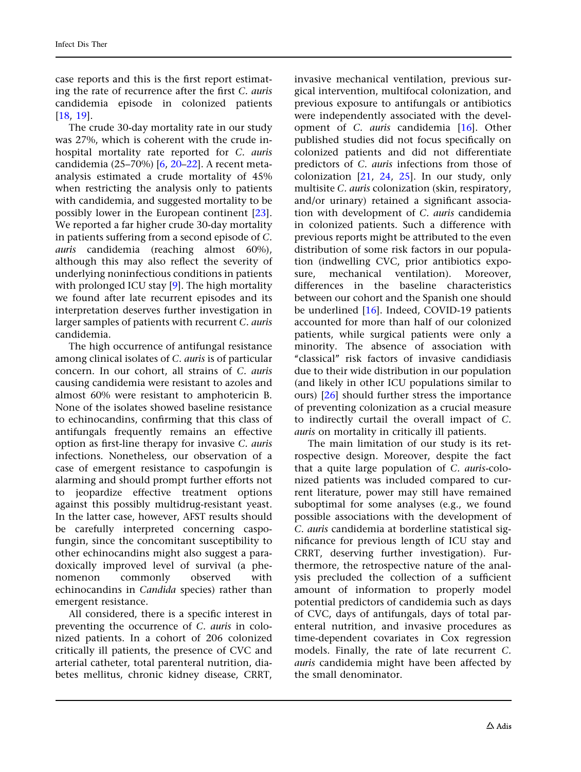case reports and this is the first report estimating the rate of recurrence after the first C. auris candidemia episode in colonized patients [\[18](#page-10-0), [19](#page-10-0)].

The crude 30-day mortality rate in our study was 27%, which is coherent with the crude inhospital mortality rate reported for C. auris candidemia (25–70%) [[6](#page-10-0), [20](#page-10-0)[–22\]](#page-11-0). A recent metaanalysis estimated a crude mortality of 45% when restricting the analysis only to patients with candidemia, and suggested mortality to be possibly lower in the European continent [[23\]](#page-11-0). We reported a far higher crude 30-day mortality in patients suffering from a second episode of C. auris candidemia (reaching almost 60%), although this may also reflect the severity of underlying noninfectious conditions in patients with prolonged ICU stay [[9](#page-10-0)]. The high mortality we found after late recurrent episodes and its interpretation deserves further investigation in larger samples of patients with recurrent C. auris candidemia.

The high occurrence of antifungal resistance among clinical isolates of C. auris is of particular concern. In our cohort, all strains of C. auris causing candidemia were resistant to azoles and almost 60% were resistant to amphotericin B. None of the isolates showed baseline resistance to echinocandins, confirming that this class of antifungals frequently remains an effective option as first-line therapy for invasive C. auris infections. Nonetheless, our observation of a case of emergent resistance to caspofungin is alarming and should prompt further efforts not to jeopardize effective treatment options against this possibly multidrug-resistant yeast. In the latter case, however, AFST results should be carefully interpreted concerning caspofungin, since the concomitant susceptibility to other echinocandins might also suggest a paradoxically improved level of survival (a phenomenon commonly observed with echinocandins in Candida species) rather than emergent resistance.

All considered, there is a specific interest in preventing the occurrence of C. auris in colonized patients. In a cohort of 206 colonized critically ill patients, the presence of CVC and arterial catheter, total parenteral nutrition, diabetes mellitus, chronic kidney disease, CRRT,

invasive mechanical ventilation, previous surgical intervention, multifocal colonization, and previous exposure to antifungals or antibiotics were independently associated with the development of C. auris candidemia [\[16\]](#page-10-0). Other published studies did not focus specifically on colonized patients and did not differentiate predictors of C. auris infections from those of colonization [\[21,](#page-11-0) [24,](#page-11-0) [25\]](#page-11-0). In our study, only multisite C. auris colonization (skin, respiratory, and/or urinary) retained a significant association with development of C. auris candidemia in colonized patients. Such a difference with previous reports might be attributed to the even distribution of some risk factors in our population (indwelling CVC, prior antibiotics exposure, mechanical ventilation). Moreover, differences in the baseline characteristics between our cohort and the Spanish one should be underlined [[16](#page-10-0)]. Indeed, COVID-19 patients accounted for more than half of our colonized patients, while surgical patients were only a minority. The absence of association with "classical" risk factors of invasive candidiasis due to their wide distribution in our population (and likely in other ICU populations similar to ours) [[26\]](#page-11-0) should further stress the importance of preventing colonization as a crucial measure to indirectly curtail the overall impact of C. auris on mortality in critically ill patients.

The main limitation of our study is its retrospective design. Moreover, despite the fact that a quite large population of C. auris-colonized patients was included compared to current literature, power may still have remained suboptimal for some analyses (e.g., we found possible associations with the development of C. auris candidemia at borderline statistical significance for previous length of ICU stay and CRRT, deserving further investigation). Furthermore, the retrospective nature of the analysis precluded the collection of a sufficient amount of information to properly model potential predictors of candidemia such as days of CVC, days of antifungals, days of total parenteral nutrition, and invasive procedures as time-dependent covariates in Cox regression models. Finally, the rate of late recurrent C. auris candidemia might have been affected by the small denominator.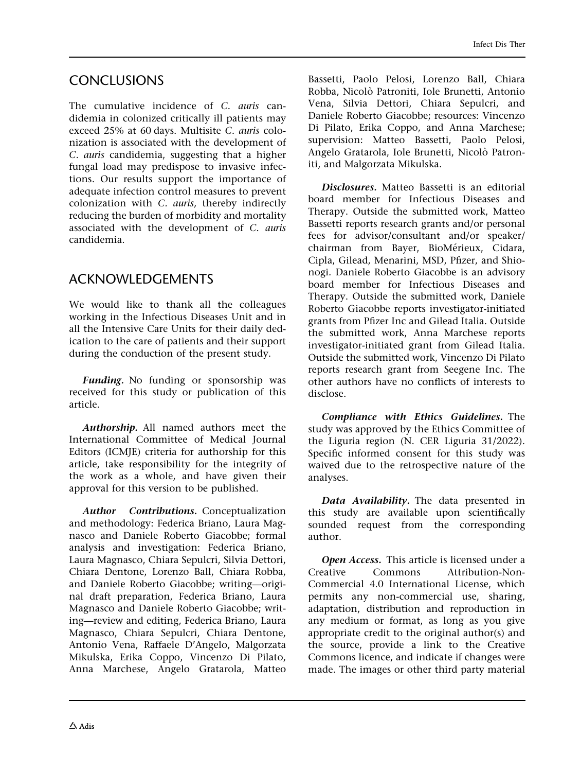### **CONCLUSIONS**

The cumulative incidence of C. auris candidemia in colonized critically ill patients may exceed 25% at 60 days. Multisite C. auris colonization is associated with the development of C. auris candidemia, suggesting that a higher fungal load may predispose to invasive infections. Our results support the importance of adequate infection control measures to prevent colonization with C. auris, thereby indirectly reducing the burden of morbidity and mortality associated with the development of C. auris candidemia.

## ACKNOWLEDGEMENTS

We would like to thank all the colleagues working in the Infectious Diseases Unit and in all the Intensive Care Units for their daily dedication to the care of patients and their support during the conduction of the present study.

Funding. No funding or sponsorship was received for this study or publication of this article.

Authorship. All named authors meet the International Committee of Medical Journal Editors (ICMJE) criteria for authorship for this article, take responsibility for the integrity of the work as a whole, and have given their approval for this version to be published.

Author Contributions. Conceptualization and methodology: Federica Briano, Laura Magnasco and Daniele Roberto Giacobbe; formal analysis and investigation: Federica Briano, Laura Magnasco, Chiara Sepulcri, Silvia Dettori, Chiara Dentone, Lorenzo Ball, Chiara Robba, and Daniele Roberto Giacobbe; writing—original draft preparation, Federica Briano, Laura Magnasco and Daniele Roberto Giacobbe; writing—review and editing, Federica Briano, Laura Magnasco, Chiara Sepulcri, Chiara Dentone, Antonio Vena, Raffaele D'Angelo, Malgorzata Mikulska, Erika Coppo, Vincenzo Di Pilato, Anna Marchese, Angelo Gratarola, Matteo Bassetti, Paolo Pelosi, Lorenzo Ball, Chiara Robba, Nicolò Patroniti, Iole Brunetti, Antonio Vena, Silvia Dettori, Chiara Sepulcri, and Daniele Roberto Giacobbe; resources: Vincenzo Di Pilato, Erika Coppo, and Anna Marchese; supervision: Matteo Bassetti, Paolo Pelosi, Angelo Gratarola, Iole Brunetti, Nicolò Patroniti, and Malgorzata Mikulska.

Disclosures. Matteo Bassetti is an editorial board member for Infectious Diseases and Therapy. Outside the submitted work, Matteo Bassetti reports research grants and/or personal fees for advisor/consultant and/or speaker/ chairman from Bayer, BioMérieux, Cidara, Cipla, Gilead, Menarini, MSD, Pfizer, and Shionogi. Daniele Roberto Giacobbe is an advisory board member for Infectious Diseases and Therapy. Outside the submitted work, Daniele Roberto Giacobbe reports investigator-initiated grants from Pfizer Inc and Gilead Italia. Outside the submitted work, Anna Marchese reports investigator-initiated grant from Gilead Italia. Outside the submitted work, Vincenzo Di Pilato reports research grant from Seegene Inc. The other authors have no conflicts of interests to disclose.

Compliance with Ethics Guidelines. The study was approved by the Ethics Committee of the Liguria region (N. CER Liguria 31/2022). Specific informed consent for this study was waived due to the retrospective nature of the analyses.

Data Availability. The data presented in this study are available upon scientifically sounded request from the corresponding author.

Open Access. This article is licensed under a Creative Commons Attribution-Non-Commercial 4.0 International License, which permits any non-commercial use, sharing, adaptation, distribution and reproduction in any medium or format, as long as you give appropriate credit to the original author(s) and the source, provide a link to the Creative Commons licence, and indicate if changes were made. The images or other third party material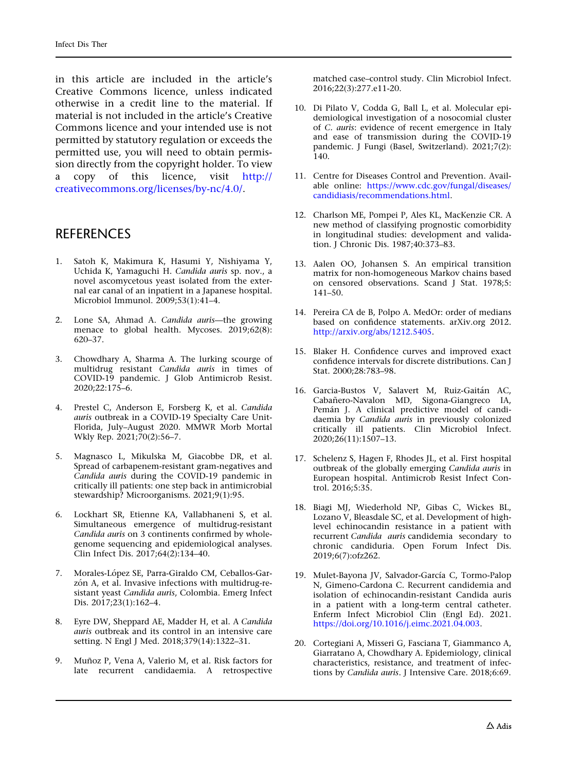<span id="page-10-0"></span>in this article are included in the article's Creative Commons licence, unless indicated otherwise in a credit line to the material. If material is not included in the article's Creative Commons licence and your intended use is not permitted by statutory regulation or exceeds the permitted use, you will need to obtain permission directly from the copyright holder. To view a copy of this licence, visit [http://](http://creativecommons.org/licenses/by-nc/4.0/) [creativecommons.org/licenses/by-nc/4.0/.](http://creativecommons.org/licenses/by-nc/4.0/)

### **REFERENCES**

- 1. Satoh K, Makimura K, Hasumi Y, Nishiyama Y, Uchida K, Yamaguchi H. Candida auris sp. nov., a novel ascomycetous yeast isolated from the external ear canal of an inpatient in a Japanese hospital. Microbiol Immunol. 2009;53(1):41–4.
- 2. Lone SA, Ahmad A. Candida auris—the growing menace to global health. Mycoses. 2019;62(8): 620–37.
- 3. Chowdhary A, Sharma A. The lurking scourge of multidrug resistant Candida auris in times of COVID-19 pandemic. J Glob Antimicrob Resist. 2020;22:175–6.
- 4. Prestel C, Anderson E, Forsberg K, et al. Candida auris outbreak in a COVID-19 Specialty Care Unit-Florida, July–August 2020. MMWR Morb Mortal Wkly Rep. 2021;70(2):56–7.
- 5. Magnasco L, Mikulska M, Giacobbe DR, et al. Spread of carbapenem-resistant gram-negatives and Candida auris during the COVID-19 pandemic in critically ill patients: one step back in antimicrobial stewardship? Microorganisms. 2021;9(1):95.
- 6. Lockhart SR, Etienne KA, Vallabhaneni S, et al. Simultaneous emergence of multidrug-resistant Candida auris on 3 continents confirmed by wholegenome sequencing and epidemiological analyses. Clin Infect Dis. 2017;64(2):134–40.
- 7. Morales-López SE, Parra-Giraldo CM, Ceballos-Garzón A, et al. Invasive infections with multidrug-resistant yeast Candida auris, Colombia. Emerg Infect Dis. 2017;23(1):162–4.
- 8. Eyre DW, Sheppard AE, Madder H, et al. A Candida auris outbreak and its control in an intensive care setting. N Engl J Med. 2018;379(14):1322–31.
- 9. Muñoz P, Vena A, Valerio M, et al. Risk factors for late recurrent candidaemia. A retrospective

matched case–control study. Clin Microbiol Infect. 2016;22(3):277.e11-20.

- 10. Di Pilato V, Codda G, Ball L, et al. Molecular epidemiological investigation of a nosocomial cluster of C. auris: evidence of recent emergence in Italy and ease of transmission during the COVID-19 pandemic. J Fungi (Basel, Switzerland). 2021;7(2): 140.
- 11. Centre for Diseases Control and Prevention. Available online: [https://www.cdc.gov/fungal/diseases/](https://www.cdc.gov/fungal/diseases/candidiasis/recommendations.html) [candidiasis/recommendations.html](https://www.cdc.gov/fungal/diseases/candidiasis/recommendations.html).
- 12. Charlson ME, Pompei P, Ales KL, MacKenzie CR. A new method of classifying prognostic comorbidity in longitudinal studies: development and validation. J Chronic Dis. 1987;40:373–83.
- 13. Aalen OO, Johansen S. An empirical transition matrix for non-homogeneous Markov chains based on censored observations. Scand J Stat. 1978;5: 141–50.
- 14. Pereira CA de B, Polpo A. MedOr: order of medians based on confidence statements. arXiv.org 2012. [http://arxiv.org/abs/1212.5405.](http://arxiv.org/abs/1212.5405)
- 15. Blaker H. Confidence curves and improved exact confidence intervals for discrete distributions. Can J Stat. 2000;28:783–98.
- 16. Garcia-Bustos V, Salavert M, Ruiz-Gaitán AC, Cabañero-Navalon MD, Sigona-Giangreco IA, Pemán J. A clinical predictive model of candidaemia by Candida auris in previously colonized critically ill patients. Clin Microbiol Infect. 2020;26(11):1507–13.
- 17. Schelenz S, Hagen F, Rhodes JL, et al. First hospital outbreak of the globally emerging Candida auris in European hospital. Antimicrob Resist Infect Control. 2016;5:35.
- 18. Biagi MJ, Wiederhold NP, Gibas C, Wickes BL, Lozano V, Bleasdale SC, et al. Development of highlevel echinocandin resistance in a patient with recurrent Candida auris candidemia secondary to chronic candiduria. Open Forum Infect Dis. 2019;6(7):ofz262.
- 19. Mulet-Bayona JV, Salvador-García C, Tormo-Palop N, Gimeno-Cardona C. Recurrent candidemia and isolation of echinocandin-resistant Candida auris in a patient with a long-term central catheter. Enferm Infect Microbiol Clin (Engl Ed). 2021. <https://doi.org/10.1016/j.eimc.2021.04.003>.
- 20. Cortegiani A, Misseri G, Fasciana T, Giammanco A, Giarratano A, Chowdhary A. Epidemiology, clinical characteristics, resistance, and treatment of infections by Candida auris. J Intensive Care. 2018;6:69.